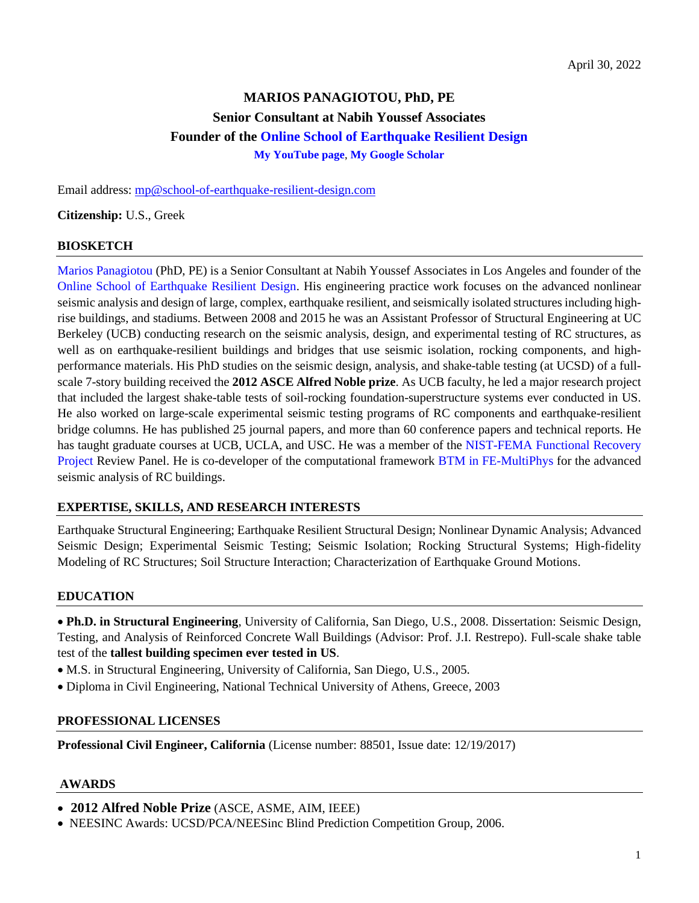# **MARIOS PANAGIOTOU, PhD, PE Senior Consultant at Nabih Youssef Associates Founder of the [Online School of Earthquake Resilient Design](https://www.school-of-earthquake-resilient-design.com/) [My YouTube page](https://www.youtube.com/channel/UClnn8EIjp8oCe1ka9ymQ2PQ)**, **[My Google Scholar](https://scholar.google.com/citations?user=owwFr3EAAAAJ&hl=en)**

Email address: [mp@school-of-earthquake-resilient-design.com](mailto:mp@school-of-earthquake-resilient-design.com)

**Citizenship:** U.S., Greek

#### **BIOSKETCH**

Marios [Panagiotou](https://www.school-of-earthquake-resilient-design.com/the-instructor) (PhD, PE) is a Senior Consultant at Nabih Youssef Associates in Los Angeles and founder of the [Online School of Earthquake Resilient Design.](https://www.school-of-earthquake-resilient-design.com/) His engineering practice work focuses on the advanced nonlinear seismic analysis and design of large, complex, earthquake resilient, and seismically isolated structures including highrise buildings, and stadiums. Between 2008 and 2015 he was an Assistant Professor of Structural Engineering at UC Berkeley (UCB) conducting research on the seismic analysis, design, and experimental testing of RC structures, as well as on earthquake-resilient buildings and bridges that use seismic isolation, rocking components, and highperformance materials. His PhD studies on the seismic design, analysis, and shake-table testing (at UCSD) of a fullscale 7-story building received the **2012 [ASCE](https://www.asce.org/templates/award-detail.aspx?id=1497&all_recipients=1) Alfred Noble prize**. As UCB faculty, he led a major research project that included the largest shake-table tests of soil-rocking foundation-superstructure systems ever conducted in US. He also worked on large-scale experimental seismic testing programs of RC components and earthquake-resilient bridge columns. He has published 25 journal papers, and more than 60 conference papers and technical reports. He has taught graduate courses at UCB, UCLA, and USC. He was a member of the [NIST-FEMA](https://nvlpubs.nist.gov/nistpubs/SpecialPublications/NIST.SP.1254.pdf) Functional Recovery [Project](https://nvlpubs.nist.gov/nistpubs/SpecialPublications/NIST.SP.1254.pdf) Review Panel. He is co-developer of the computational framework BTM in [FE-MultiPhys](https://www.school-of-earthquake-resilient-design.com/btm-seismic-fe-analysis) for the advanced seismic analysis of RC buildings.

#### **EXPERTISE, SKILLS, AND RESEARCH INTERESTS**

Earthquake Structural Engineering; Earthquake Resilient Structural Design; Nonlinear Dynamic Analysis; Advanced Seismic Design; Experimental Seismic Testing; Seismic Isolation; Rocking Structural Systems; High-fidelity Modeling of RC Structures; Soil Structure Interaction; Characterization of Earthquake Ground Motions.

# **EDUCATION**

• **Ph.D. in Structural Engineering**, University of California, San Diego, U.S., 2008. Dissertation: Seismic Design, Testing, and Analysis of Reinforced Concrete Wall Buildings (Advisor: Prof. J.I. Restrepo). Full-scale shake table test of the **tallest building specimen ever tested in US**.

- M.S. in Structural Engineering, University of California, San Diego, U.S., 2005.
- Diploma in Civil Engineering, National Technical University of Athens, Greece, 2003

#### **PROFESSIONAL LICENSES**

**Professional Civil Engineer, California** (License number: 88501, Issue date: 12/19/2017)

#### **AWARDS**

• **2012 Alfred Noble Prize** (ASCE, ASME, AIM, IEEE)

• NEESINC Awards: UCSD/PCA/NEESinc Blind Prediction Competition Group, 2006.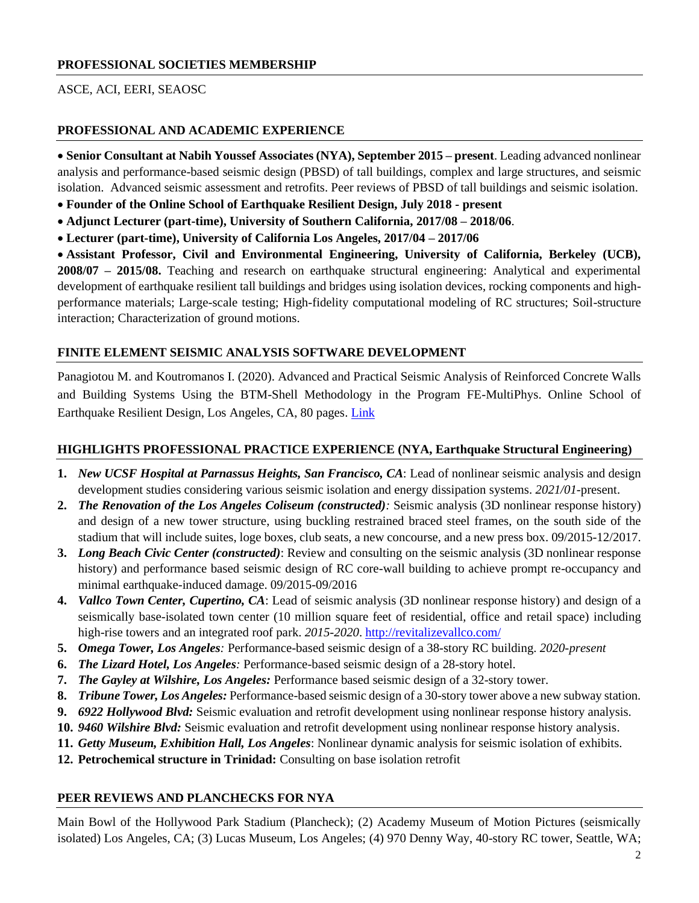#### **PROFESSIONAL SOCIETIES MEMBERSHIP**

#### ASCE, ACI, EERI, SEAOSC

#### **PROFESSIONAL AND ACADEMIC EXPERIENCE**

• **Senior Consultant at Nabih Youssef Associates (NYA), September 2015 – present**. Leading advanced nonlinear analysis and performance-based seismic design (PBSD) of tall buildings, complex and large structures, and seismic isolation. Advanced seismic assessment and retrofits. Peer reviews of PBSD of tall buildings and seismic isolation.

- **Founder of the Online School of Earthquake Resilient Design, July 2018 - present**
- **Adjunct Lecturer (part-time), University of Southern California, 2017/08 – 2018/06**.
- **Lecturer (part-time), University of California Los Angeles, 2017/04 – 2017/06**

• **Assistant Professor, Civil and Environmental Engineering, University of California, Berkeley (UCB), 2008/07 – 2015/08.** Teaching and research on earthquake structural engineering: Analytical and experimental development of earthquake resilient tall buildings and bridges using isolation devices, rocking components and highperformance materials; Large-scale testing; High-fidelity computational modeling of RC structures; Soil-structure interaction; Characterization of ground motions.

#### **FINITE ELEMENT SEISMIC ANALYSIS SOFTWARE DEVELOPMENT**

Panagiotou M. and Koutromanos I. (2020). Advanced and Practical Seismic Analysis of Reinforced Concrete Walls and Building Systems Using the BTM-Shell Methodology in the Program FE-MultiPhys. Online School of Earthquake Resilient Design, Los Angeles, CA, 80 pages. [Link](https://www.school-of-earthquake-resilient-design.com/btm-seismic-fe-analysis)

#### **HIGHLIGHTS PROFESSIONAL PRACTICE EXPERIENCE (NYA, Earthquake Structural Engineering)**

- **1.** *New UCSF Hospital at Parnassus Heights, San Francisco, CA*: Lead of nonlinear seismic analysis and design development studies considering various seismic isolation and energy dissipation systems. *2021/01-*present.
- **2.** *The Renovation of the Los Angeles Coliseum (constructed):* Seismic analysis (3D nonlinear response history) and design of a new tower structure, using buckling restrained braced steel frames, on the south side of the stadium that will include suites, loge boxes, club seats, a new concourse, and a new press box. 09/2015-12/2017.
- **3.** *Long Beach Civic Center (constructed)*: Review and consulting on the seismic analysis (3D nonlinear response history) and performance based seismic design of RC core-wall building to achieve prompt re-occupancy and minimal earthquake-induced damage. 09/2015-09/2016
- **4.** *Vallco Town Center, Cupertino, CA*: Lead of seismic analysis (3D nonlinear response history) and design of a seismically base-isolated town center (10 million square feet of residential, office and retail space) including high-rise towers and an integrated roof park. *2015-2020*.<http://revitalizevallco.com/>
- **5.** *Omega Tower, Los Angeles:* Performance-based seismic design of a 38-story RC building. *2020-present*
- **6.** *The Lizard Hotel, Los Angeles:* Performance-based seismic design of a 28-story hotel.
- **7.** *The Gayley at Wilshire, Los Angeles:* Performance based seismic design of a 32-story tower.
- **8.** *Tribune Tower, Los Angeles:* Performance-based seismic design of a 30-story tower above a new subway station.
- **9.** *6922 Hollywood Blvd:* Seismic evaluation and retrofit development using nonlinear response history analysis.
- **10.** *9460 Wilshire Blvd:* Seismic evaluation and retrofit development using nonlinear response history analysis.
- **11.** *Getty Museum, Exhibition Hall, Los Angeles*: Nonlinear dynamic analysis for seismic isolation of exhibits.
- **12. Petrochemical structure in Trinidad:** Consulting on base isolation retrofit

#### **PEER REVIEWS AND PLANCHECKS FOR NYA**

Main Bowl of the Hollywood Park Stadium (Plancheck); (2) Academy Museum of Motion Pictures (seismically isolated) Los Angeles, CA; (3) Lucas Museum, Los Angeles; (4) 970 Denny Way, 40-story RC tower, Seattle, WA;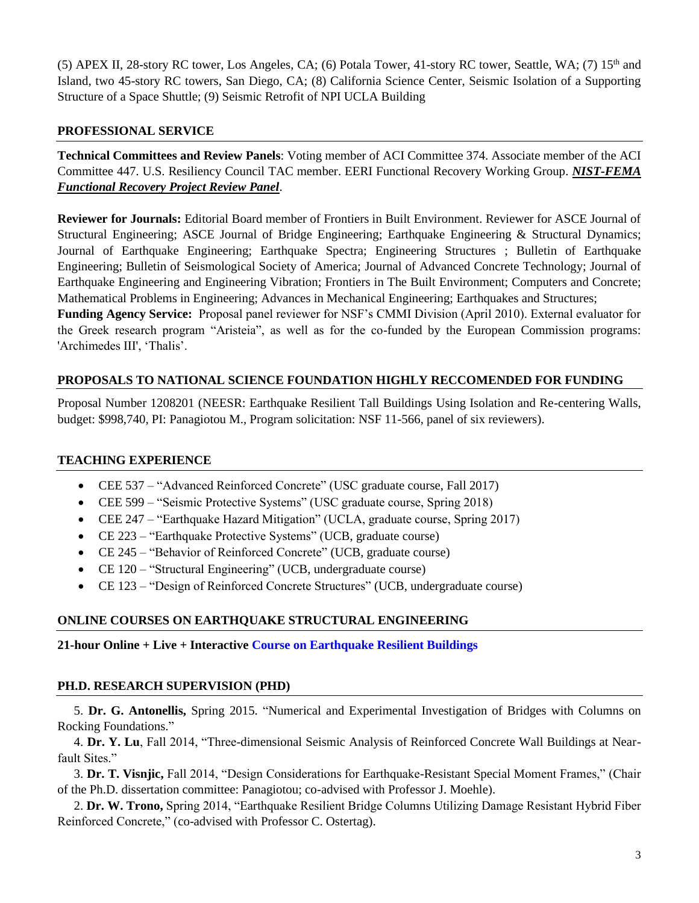(5) APEX II, 28-story RC tower, Los Angeles, CA; (6) Potala Tower, 41-story RC tower, Seattle, WA; (7)  $15<sup>th</sup>$  and Island, two 45-story RC towers, San Diego, CA; (8) California Science Center, Seismic Isolation of a Supporting Structure of a Space Shuttle; (9) Seismic Retrofit of NPI UCLA Building

# **PROFESSIONAL SERVICE**

**Technical Committees and Review Panels**: Voting member of ACI Committee 374. Associate member of the ACI Committee 447. U.S. Resiliency Council TAC member. EERI Functional Recovery Working Group. *NIST-FEMA Functional Recovery Project Review Panel*.

**Reviewer for Journals:** Editorial Board member of Frontiers in Built Environment. Reviewer for ASCE Journal of Structural Engineering; ASCE Journal of Bridge Engineering; Earthquake Engineering & Structural Dynamics; Journal of Earthquake Engineering; Earthquake Spectra; Engineering Structures ; Bulletin of Earthquake Engineering; Bulletin of Seismological Society of America; Journal of Advanced Concrete Technology; Journal of Earthquake Engineering and Engineering Vibration; Frontiers in The Built Environment; Computers and Concrete; Mathematical Problems in Engineering; Advances in Mechanical Engineering; Earthquakes and Structures; **Funding Agency Service:** Proposal panel reviewer for NSF's CMMI Division (April 2010). External evaluator for the Greek research program "Aristeia", as well as for the co-funded by the European Commission programs: 'Archimedes III', 'Thalis'.

# **PROPOSALS TO NATIONAL SCIENCE FOUNDATION HIGHLY RECCOMENDED FOR FUNDING**

Proposal Number 1208201 (NEESR: Earthquake Resilient Tall Buildings Using Isolation and Re-centering Walls, budget: \$998,740, PI: Panagiotou M., Program solicitation: NSF 11-566, panel of six reviewers).

# **TEACHING EXPERIENCE**

- CEE 537 "Advanced Reinforced Concrete" (USC graduate course, Fall 2017)
- CEE 599 "Seismic Protective Systems" (USC graduate course, Spring 2018)
- CEE 247 "Earthquake Hazard Mitigation" (UCLA, graduate course, Spring 2017)
- CE 223 "Earthquake Protective Systems" (UCB, graduate course)
- CE 245 "Behavior of Reinforced Concrete" (UCB, graduate course)
- CE 120 "Structural Engineering" (UCB, undergraduate course)
- CE 123 "Design of Reinforced Concrete Structures" (UCB, undergraduate course)

# **ONLINE COURSES ON EARTHQUAKE STRUCTURAL ENGINEERING**

**21-hour Online + Live + Interactive [Course on Earthquake Resilient Buildings](https://www.school-of-earthquake-resilient-design.com/eq-resilient-buildings)**

# **PH.D. RESEARCH SUPERVISION (PHD)**

5. **Dr. G. Antonellis,** Spring 2015. "Numerical and Experimental Investigation of Bridges with Columns on Rocking Foundations."

4. **Dr. Y. Lu**, Fall 2014, "Three-dimensional Seismic Analysis of Reinforced Concrete Wall Buildings at Nearfault Sites."

3. **Dr. T. Visnjic,** Fall 2014, "Design Considerations for Earthquake-Resistant Special Moment Frames," (Chair of the Ph.D. dissertation committee: Panagiotou; co-advised with Professor J. Moehle).

2. **Dr. W. Trono,** Spring 2014, "Earthquake Resilient Bridge Columns Utilizing Damage Resistant Hybrid Fiber Reinforced Concrete," (co-advised with Professor C. Ostertag).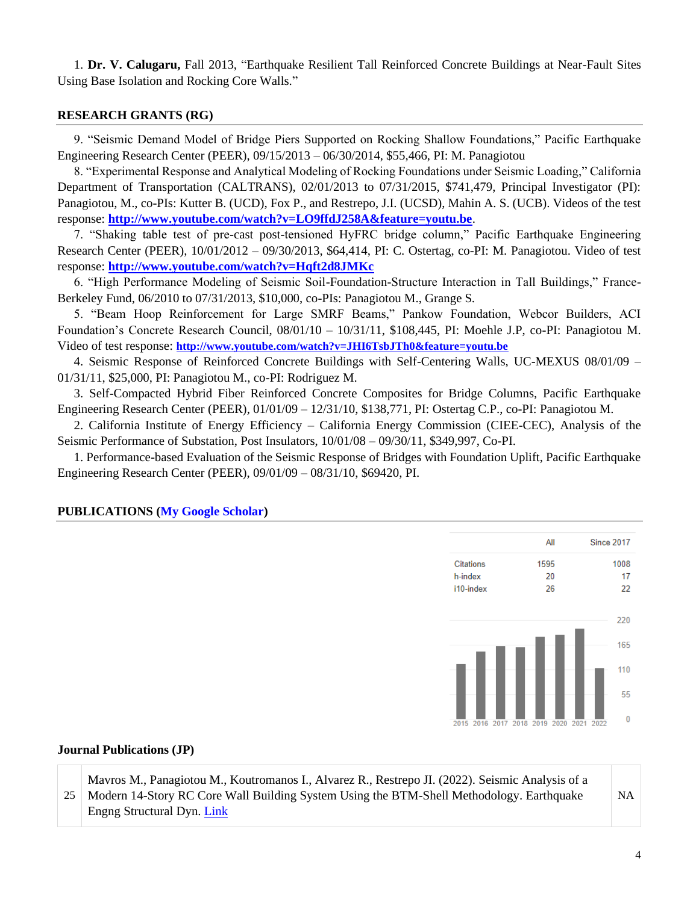1. **Dr. V. Calugaru,** Fall 2013, "Earthquake Resilient Tall Reinforced Concrete Buildings at Near-Fault Sites Using Base Isolation and Rocking Core Walls."

# **RESEARCH GRANTS (RG)**

9. "Seismic Demand Model of Bridge Piers Supported on Rocking Shallow Foundations," Pacific Earthquake Engineering Research Center (PEER), 09/15/2013 – 06/30/2014, \$55,466, PI: M. Panagiotou

8. "Experimental Response and Analytical Modeling of Rocking Foundations under Seismic Loading," California Department of Transportation (CALTRANS), 02/01/2013 to 07/31/2015, \$741,479, Principal Investigator (PI): Panagiotou, M., co-PIs: Kutter B. (UCD), Fox P., and Restrepo, J.I. (UCSD), Mahin A. S. (UCB). Videos of the test response: **<http://www.youtube.com/watch?v=LO9ffdJ258A&feature=youtu.be>**.

7. "Shaking table test of pre-cast post-tensioned HyFRC bridge column," Pacific Earthquake Engineering Research Center (PEER), 10/01/2012 – 09/30/2013, \$64,414, PI: C. Ostertag, co-PI: M. Panagiotou. Video of test response: **<http://www.youtube.com/watch?v=Hqft2d8JMKc>**

6. "High Performance Modeling of Seismic Soil-Foundation-Structure Interaction in Tall Buildings," France-Berkeley Fund, 06/2010 to 07/31/2013, \$10,000, co-PIs: Panagiotou M., Grange S.

5. "Beam Hoop Reinforcement for Large SMRF Beams," Pankow Foundation, Webcor Builders, ACI Foundation's Concrete Research Council, 08/01/10 – 10/31/11, \$108,445, PI: Moehle J.P, co-PI: Panagiotou M. Video of test response: **<http://www.youtube.com/watch?v=JHI6TsbJTh0&feature=youtu.be>**

4. Seismic Response of Reinforced Concrete Buildings with Self-Centering Walls, UC-MEXUS 08/01/09 – 01/31/11, \$25,000, PI: Panagiotou M., co-PI: Rodriguez M.

3. Self-Compacted Hybrid Fiber Reinforced Concrete Composites for Bridge Columns, Pacific Earthquake Engineering Research Center (PEER), 01/01/09 – 12/31/10, \$138,771, PI: Ostertag C.P., co-PI: Panagiotou M.

2. California Institute of Energy Efficiency – California Energy Commission (CIEE-CEC), Analysis of the Seismic Performance of Substation, Post Insulators, 10/01/08 – 09/30/11, \$349,997, Co-PI.

1. Performance-based Evaluation of the Seismic Response of Bridges with Foundation Uplift, Pacific Earthquake Engineering Research Center (PEER), 09/01/09 – 08/31/10, \$69420, PI.



# **PUBLICATIONS [\(My Google Scholar\)](https://scholar.google.com/citations?user=owwFr3EAAAAJ&hl=en)**

#### **Journal Publications (JP)**

25 Mavros M., Panagiotou M., Koutromanos I., Alvarez R., Restrepo JI. (2022). Seismic Analysis of a Modern 14-Story RC Core Wall Building System Using the BTM-Shell Methodology. Earthquake Engng Structural Dyn. [Link](https://onlinelibrary.wiley.com/doi/epdf/10.1002/eqe.3627)

NA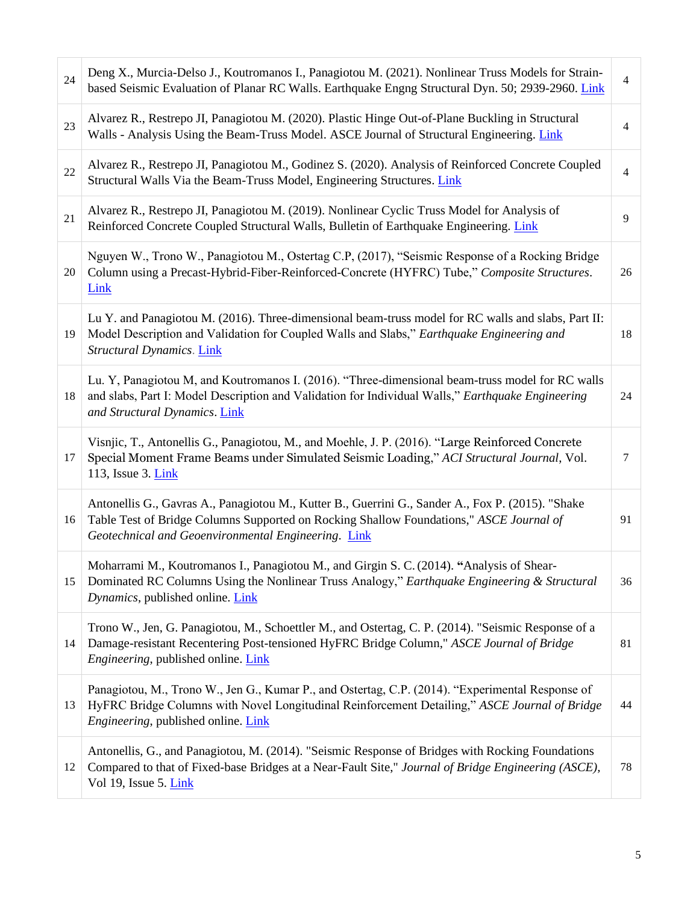| 24 | Deng X., Murcia-Delso J., Koutromanos I., Panagiotou M. (2021). Nonlinear Truss Models for Strain-<br>based Seismic Evaluation of Planar RC Walls. Earthquake Engng Structural Dyn. 50; 2939-2960. Link                                             | $\overline{4}$ |
|----|-----------------------------------------------------------------------------------------------------------------------------------------------------------------------------------------------------------------------------------------------------|----------------|
| 23 | Alvarez R., Restrepo JI, Panagiotou M. (2020). Plastic Hinge Out-of-Plane Buckling in Structural<br>Walls - Analysis Using the Beam-Truss Model. ASCE Journal of Structural Engineering. Link                                                       | $\overline{4}$ |
| 22 | Alvarez R., Restrepo JI, Panagiotou M., Godinez S. (2020). Analysis of Reinforced Concrete Coupled<br>Structural Walls Via the Beam-Truss Model, Engineering Structures. Link                                                                       | $\overline{4}$ |
| 21 | Alvarez R., Restrepo JI, Panagiotou M. (2019). Nonlinear Cyclic Truss Model for Analysis of<br>Reinforced Concrete Coupled Structural Walls, Bulletin of Earthquake Engineering. Link                                                               | 9              |
| 20 | Nguyen W., Trono W., Panagiotou M., Ostertag C.P, (2017), "Seismic Response of a Rocking Bridge<br>Column using a Precast-Hybrid-Fiber-Reinforced-Concrete (HYFRC) Tube," Composite Structures.<br>Link                                             | 26             |
| 19 | Lu Y. and Panagiotou M. (2016). Three-dimensional beam-truss model for RC walls and slabs, Part II:<br>Model Description and Validation for Coupled Walls and Slabs," Earthquake Engineering and<br>Structural Dynamics. Link                       | 18             |
| 18 | Lu. Y, Panagiotou M, and Koutromanos I. (2016). "Three-dimensional beam-truss model for RC walls<br>and slabs, Part I: Model Description and Validation for Individual Walls," Earthquake Engineering<br>and Structural Dynamics. Link              | 24             |
| 17 | Visnjic, T., Antonellis G., Panagiotou, M., and Moehle, J. P. (2016). "Large Reinforced Concrete<br>Special Moment Frame Beams under Simulated Seismic Loading," ACI Structural Journal, Vol.<br>113, Issue 3. <i>Link</i>                          | $\tau$         |
| 16 | Antonellis G., Gavras A., Panagiotou M., Kutter B., Guerrini G., Sander A., Fox P. (2015). "Shake<br>Table Test of Bridge Columns Supported on Rocking Shallow Foundations," ASCE Journal of<br>Geotechnical and Geoenvironmental Engineering. Link | 91             |
| 15 | Moharrami M., Koutromanos I., Panagiotou M., and Girgin S. C. (2014). "Analysis of Shear-<br>Dominated RC Columns Using the Nonlinear Truss Analogy," Earthquake Engineering & Structural<br>Dynamics, published online. Link                       | 36             |
| 14 | Trono W., Jen, G. Panagiotou, M., Schoettler M., and Ostertag, C. P. (2014). "Seismic Response of a<br>Damage-resistant Recentering Post-tensioned HyFRC Bridge Column," ASCE Journal of Bridge<br>Engineering, published online. Link              | 81             |
| 13 | Panagiotou, M., Trono W., Jen G., Kumar P., and Ostertag, C.P. (2014). "Experimental Response of<br>HyFRC Bridge Columns with Novel Longitudinal Reinforcement Detailing," ASCE Journal of Bridge<br>Engineering, published online. Link            | 44             |
| 12 | Antonellis, G., and Panagiotou, M. (2014). "Seismic Response of Bridges with Rocking Foundations<br>Compared to that of Fixed-base Bridges at a Near-Fault Site," Journal of Bridge Engineering (ASCE),<br>Vol 19, Issue 5. Link                    | 78             |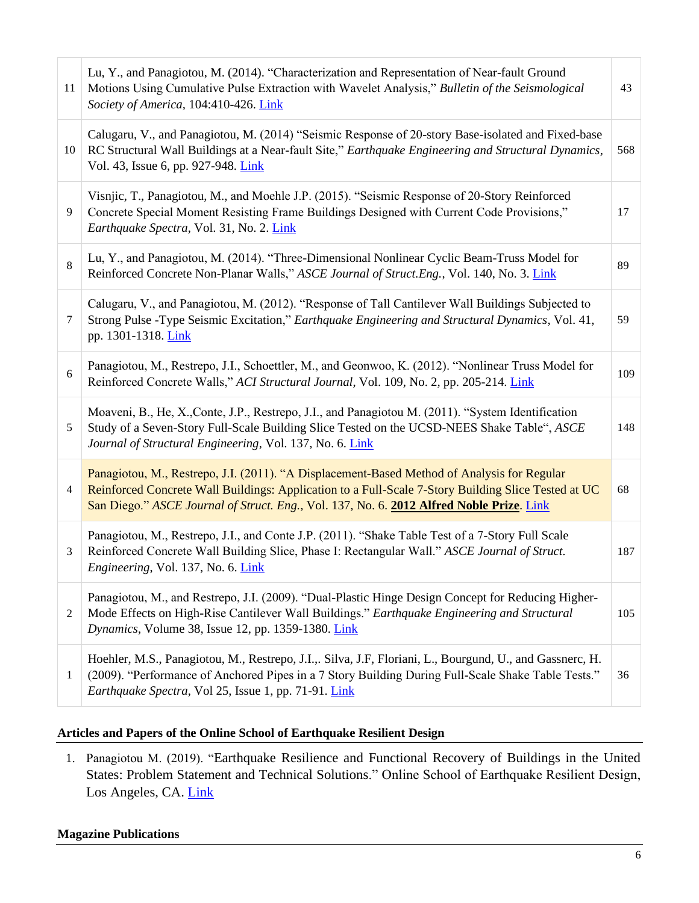| 11             | Lu, Y., and Panagiotou, M. (2014). "Characterization and Representation of Near-fault Ground<br>Motions Using Cumulative Pulse Extraction with Wavelet Analysis," Bulletin of the Seismological<br>Society of America, 104:410-426. Link                                                       | 43  |
|----------------|------------------------------------------------------------------------------------------------------------------------------------------------------------------------------------------------------------------------------------------------------------------------------------------------|-----|
| 10             | Calugaru, V., and Panagiotou, M. (2014) "Seismic Response of 20-story Base-isolated and Fixed-base<br>RC Structural Wall Buildings at a Near-fault Site," Earthquake Engineering and Structural Dynamics,<br>Vol. 43, Issue 6, pp. 927-948. Link                                               | 568 |
| 9              | Visnjic, T., Panagiotou, M., and Moehle J.P. (2015). "Seismic Response of 20-Story Reinforced<br>Concrete Special Moment Resisting Frame Buildings Designed with Current Code Provisions,"<br>Earthquake Spectra, Vol. 31, No. 2. Link                                                         | 17  |
| 8              | Lu, Y., and Panagiotou, M. (2014). "Three-Dimensional Nonlinear Cyclic Beam-Truss Model for<br>Reinforced Concrete Non-Planar Walls," ASCE Journal of Struct.Eng., Vol. 140, No. 3. Link                                                                                                       | 89  |
| 7              | Calugaru, V., and Panagiotou, M. (2012). "Response of Tall Cantilever Wall Buildings Subjected to<br>Strong Pulse -Type Seismic Excitation," Earthquake Engineering and Structural Dynamics, Vol. 41,<br>pp. 1301-1318. Link                                                                   | 59  |
| 6              | Panagiotou, M., Restrepo, J.I., Schoettler, M., and Geonwoo, K. (2012). "Nonlinear Truss Model for<br>Reinforced Concrete Walls," ACI Structural Journal, Vol. 109, No. 2, pp. 205-214. Link                                                                                                   | 109 |
| 5              | Moaveni, B., He, X., Conte, J.P., Restrepo, J.I., and Panagiotou M. (2011). "System Identification<br>Study of a Seven-Story Full-Scale Building Slice Tested on the UCSD-NEES Shake Table", ASCE<br>Journal of Structural Engineering, Vol. 137, No. 6. Link                                  | 148 |
| $\overline{4}$ | Panagiotou, M., Restrepo, J.I. (2011). "A Displacement-Based Method of Analysis for Regular<br>Reinforced Concrete Wall Buildings: Application to a Full-Scale 7-Story Building Slice Tested at UC<br>San Diego." ASCE Journal of Struct. Eng., Vol. 137, No. 6. 2012 Alfred Noble Prize. Link | 68  |
| 3              | Panagiotou, M., Restrepo, J.I., and Conte J.P. (2011). "Shake Table Test of a 7-Story Full Scale<br>Reinforced Concrete Wall Building Slice, Phase I: Rectangular Wall." ASCE Journal of Struct.<br>Engineering, Vol. 137, No. 6. Link                                                         | 187 |
| $\overline{c}$ | Panagiotou, M., and Restrepo, J.I. (2009). "Dual-Plastic Hinge Design Concept for Reducing Higher-<br>Mode Effects on High-Rise Cantilever Wall Buildings." Earthquake Engineering and Structural<br>Dynamics, Volume 38, Issue 12, pp. 1359-1380. Link                                        | 105 |
| 1              | Hoehler, M.S., Panagiotou, M., Restrepo, J.I.,. Silva, J.F, Floriani, L., Bourgund, U., and Gassnerc, H.<br>(2009). "Performance of Anchored Pipes in a 7 Story Building During Full-Scale Shake Table Tests."<br>Earthquake Spectra, Vol 25, Issue 1, pp. 71-91. Link                         | 36  |

# **Articles and Papers of the Online School of Earthquake Resilient Design**

1. Panagiotou M. (2019). "Earthquake Resilience and Functional Recovery of Buildings in the United States: Problem Statement and Technical Solutions." Online School of Earthquake Resilient Design, Los Angeles, CA. [Link](https://www.school-of-earthquake-resilient-design.com/eq-resilience-and-fr-in-u-s)

# **Magazine Publications**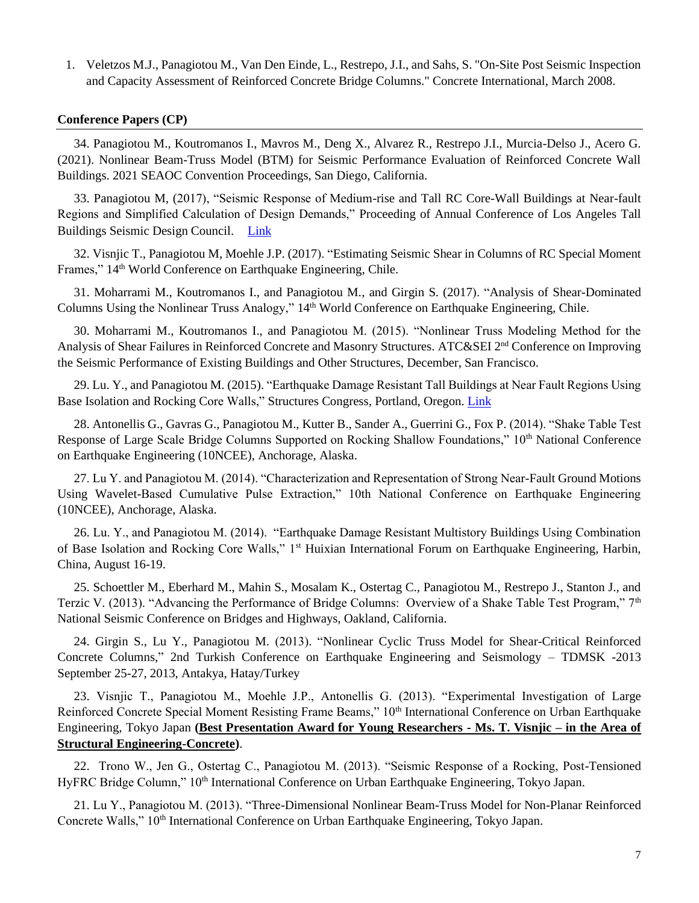1. Veletzos M.J., Panagiotou M., Van Den Einde, L., Restrepo, J.I., and Sahs, S. "On-Site Post Seismic Inspection and Capacity Assessment of Reinforced Concrete Bridge Columns." Concrete International, March 2008.

#### **Conference Papers (CP)**

34. Panagiotou M., Koutromanos I., Mavros M., Deng X., Alvarez R., Restrepo J.I., Murcia-Delso J., Acero G. (2021). Nonlinear Beam-Truss Model (BTM) for Seismic Performance Evaluation of Reinforced Concrete Wall Buildings. 2021 SEAOC Convention Proceedings, San Diego, California.

33. Panagiotou M, (2017), "Seismic Response of Medium-rise and Tall RC Core-Wall Buildings at Near-fault Regions and Simplified Calculation of Design Demands," Proceeding of Annual Conference of Los Angeles Tall Buildings Seismic Design Council. [Link](https://drive.google.com/file/d/1MW6MBO8uLSGcEm_Dkw_-tvFDVi3h7ufQ/view)

32. Visnjic T., Panagiotou M, Moehle J.P. (2017). "Estimating Seismic Shear in Columns of RC Special Moment Frames,"  $14<sup>th</sup>$  World Conference on Earthquake Engineering, Chile.

31. Moharrami M., Koutromanos I., and Panagiotou M., and Girgin S. (2017). "Analysis of Shear-Dominated Columns Using the Nonlinear Truss Analogy," 14th World Conference on Earthquake Engineering, Chile.

30. Moharrami M., Koutromanos I., and Panagiotou M. (2015). "Nonlinear Truss Modeling Method for the Analysis of Shear Failures in Reinforced Concrete and Masonry Structures. ATC&SEI 2<sup>nd</sup> Conference on Improving the Seismic Performance of Existing Buildings and Other Structures, December, San Francisco.

29. Lu. Y., and Panagiotou M. (2015). "Earthquake Damage Resistant Tall Buildings at Near Fault Regions Using Base Isolation and Rocking Core Walls," Structures Congress, Portland, Oregon. [Link](https://ascelibrary.org/doi/10.1061/9780784479117.108)

28. Antonellis G., Gavras G., Panagiotou M., Kutter B., Sander A., Guerrini G., Fox P. (2014). "Shake Table Test Response of Large Scale Bridge Columns Supported on Rocking Shallow Foundations," 10<sup>th</sup> National Conference on Earthquake Engineering (10NCEE), Anchorage, Alaska.

27. Lu Y. and Panagiotou M. (2014). "Characterization and Representation of Strong Near-Fault Ground Motions Using Wavelet-Based Cumulative Pulse Extraction," 10th National Conference on Earthquake Engineering (10NCEE), Anchorage, Alaska.

26. Lu. Y., and Panagiotou M. (2014). "Earthquake Damage Resistant Multistory Buildings Using Combination of Base Isolation and Rocking Core Walls," 1<sup>st</sup> Huixian International Forum on Earthquake Engineering, Harbin, China, August 16-19.

25. Schoettler M., Eberhard M., Mahin S., Mosalam K., Ostertag C., Panagiotou M., Restrepo J., Stanton J., and Terzic V. (2013). "Advancing the Performance of Bridge Columns: Overview of a Shake Table Test Program,"  $7<sup>th</sup>$ National Seismic Conference on Bridges and Highways, Oakland, California.

24. Girgin S., Lu Y., Panagiotou M. (2013). "Nonlinear Cyclic Truss Model for Shear-Critical Reinforced Concrete Columns," 2nd Turkish Conference on Earthquake Engineering and Seismology – TDMSK -2013 September 25-27, 2013, Antakya, Hatay/Turkey

23. Visnjic T., Panagiotou M., Moehle J.P., Antonellis G. (2013). "Experimental Investigation of Large Reinforced Concrete Special Moment Resisting Frame Beams," 10<sup>th</sup> International Conference on Urban Earthquake Engineering, Tokyo Japan **(Best Presentation Award for Young Researchers - Ms. T. Visnjic – in the Area of Structural Engineering-Concrete)**.

22. Trono W., Jen G., Ostertag C., Panagiotou M. (2013). "Seismic Response of a Rocking, Post-Tensioned HyFRC Bridge Column," 10<sup>th</sup> International Conference on Urban Earthquake Engineering, Tokyo Japan.

21. Lu Y., Panagiotou M. (2013). "Three-Dimensional Nonlinear Beam-Truss Model for Non-Planar Reinforced Concrete Walls," 10<sup>th</sup> International Conference on Urban Earthquake Engineering, Tokyo Japan.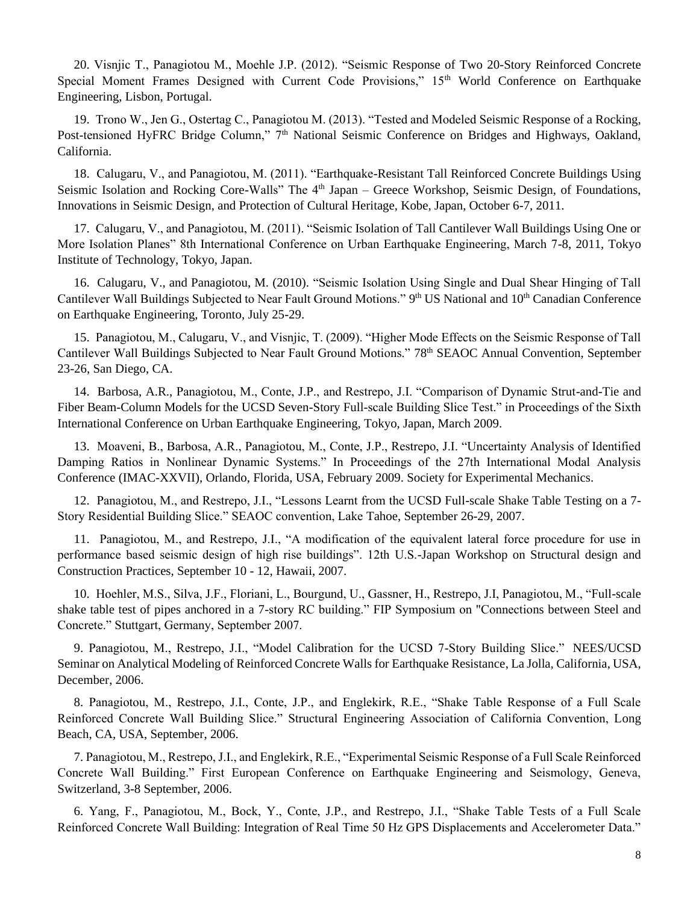20. Visnjic T., Panagiotou M., Moehle J.P. (2012). "Seismic Response of Two 20-Story Reinforced Concrete Special Moment Frames Designed with Current Code Provisions," 15<sup>th</sup> World Conference on Earthquake Engineering, Lisbon, Portugal.

19. Trono W., Jen G., Ostertag C., Panagiotou M. (2013). "Tested and Modeled Seismic Response of a Rocking, Post-tensioned HyFRC Bridge Column," 7<sup>th</sup> National Seismic Conference on Bridges and Highways, Oakland, California.

18. Calugaru, V., and Panagiotou, M. (2011). "Earthquake-Resistant Tall Reinforced Concrete Buildings Using Seismic Isolation and Rocking Core-Walls" The 4<sup>th</sup> Japan – Greece Workshop, Seismic Design, of Foundations, Innovations in Seismic Design, and Protection of Cultural Heritage, Kobe, Japan, October 6-7, 2011.

17. Calugaru, V., and Panagiotou, M. (2011). "Seismic Isolation of Tall Cantilever Wall Buildings Using One or More Isolation Planes" 8th International Conference on Urban Earthquake Engineering, March 7-8, 2011, Tokyo Institute of Technology, Tokyo, Japan.

16. Calugaru, V., and Panagiotou, M. (2010). "Seismic Isolation Using Single and Dual Shear Hinging of Tall Cantilever Wall Buildings Subjected to Near Fault Ground Motions." 9th US National and 10th Canadian Conference on Earthquake Engineering, Toronto, July 25-29.

15. Panagiotou, M., Calugaru, V., and Visnjic, T. (2009). "Higher Mode Effects on the Seismic Response of Tall Cantilever Wall Buildings Subjected to Near Fault Ground Motions." 78<sup>th</sup> SEAOC Annual Convention, September 23-26, San Diego, CA.

14. Barbosa, A.R., Panagiotou, M., Conte, J.P., and Restrepo, J.I. "Comparison of Dynamic Strut-and-Tie and Fiber Beam-Column Models for the UCSD Seven-Story Full-scale Building Slice Test." in Proceedings of the Sixth International Conference on Urban Earthquake Engineering, Tokyo, Japan, March 2009.

13. Moaveni, B., Barbosa, A.R., Panagiotou, M., Conte, J.P., Restrepo, J.I. "Uncertainty Analysis of Identified Damping Ratios in Nonlinear Dynamic Systems." In Proceedings of the 27th International Modal Analysis Conference (IMAC-XXVII), Orlando, Florida, USA, February 2009. Society for Experimental Mechanics.

12. Panagiotou, M., and Restrepo, J.I., "Lessons Learnt from the UCSD Full-scale Shake Table Testing on a 7- Story Residential Building Slice." SEAOC convention, Lake Tahoe, September 26-29, 2007.

11. Panagiotou, M., and Restrepo, J.I., "A modification of the equivalent lateral force procedure for use in performance based seismic design of high rise buildings". 12th U.S.-Japan Workshop on Structural design and Construction Practices, September 10 - 12, Hawaii, 2007.

10. Hoehler, M.S., Silva, J.F., Floriani, L., Bourgund, U., Gassner, H., Restrepo, J.I, Panagiotou, M., "Full-scale shake table test of pipes anchored in a 7-story RC building." FIP Symposium on "Connections between Steel and Concrete." Stuttgart, Germany, September 2007.

9. Panagiotou, M., Restrepo, J.I., "Model Calibration for the UCSD 7-Story Building Slice." NEES/UCSD Seminar on Analytical Modeling of Reinforced Concrete Walls for Earthquake Resistance, La Jolla, California, USA, December, 2006.

8. Panagiotou, M., Restrepo, J.I., Conte, J.P., and Englekirk, R.E., "Shake Table Response of a Full Scale Reinforced Concrete Wall Building Slice." Structural Engineering Association of California Convention, Long Beach, CA, USA, September, 2006.

7. Panagiotou, M., Restrepo, J.I., and Englekirk, R.E., "Experimental Seismic Response of a Full Scale Reinforced Concrete Wall Building." First European Conference on Earthquake Engineering and Seismology, Geneva, Switzerland, 3-8 September, 2006.

6. Yang, F., Panagiotou, M., Bock, Y., Conte, J.P., and Restrepo, J.I., "Shake Table Tests of a Full Scale Reinforced Concrete Wall Building: Integration of Real Time 50 Hz GPS Displacements and Accelerometer Data."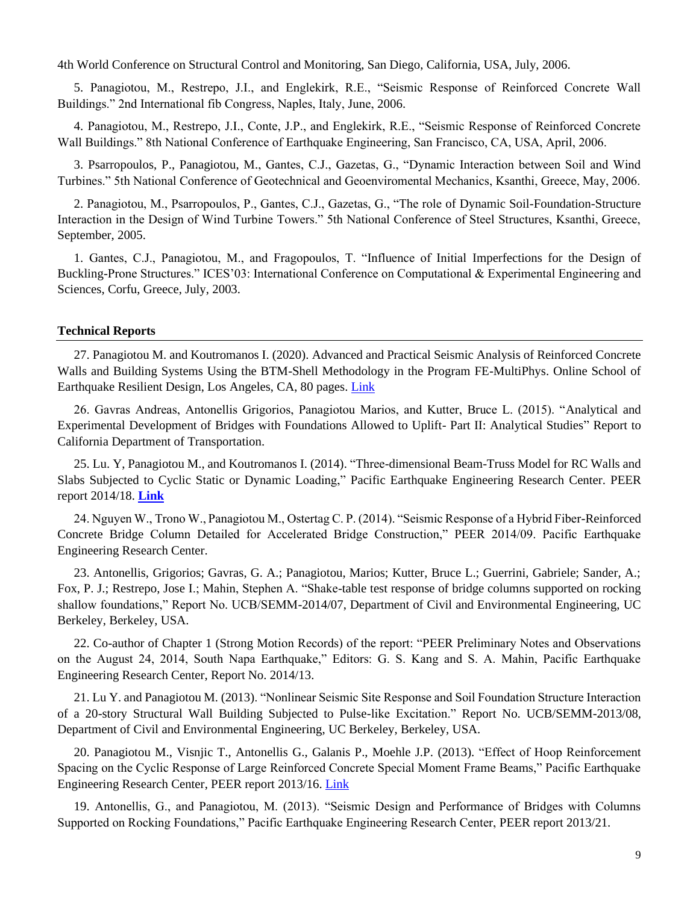4th World Conference on Structural Control and Monitoring, San Diego, California, USA, July, 2006.

5. Panagiotou, M., Restrepo, J.I., and Englekirk, R.E., "Seismic Response of Reinforced Concrete Wall Buildings." 2nd International fib Congress, Naples, Italy, June, 2006.

4. Panagiotou, M., Restrepo, J.I., Conte, J.P., and Englekirk, R.E., "Seismic Response of Reinforced Concrete Wall Buildings." 8th National Conference of Earthquake Engineering, San Francisco, CA, USA, April, 2006.

3. Psarropoulos, P., Panagiotou, M., Gantes, C.J., Gazetas, G., "Dynamic Interaction between Soil and Wind Turbines." 5th National Conference of Geotechnical and Geoenviromental Mechanics, Ksanthi, Greece, May, 2006.

2. Panagiotou, M., Psarropoulos, P., Gantes, C.J., Gazetas, G., "The role of Dynamic Soil-Foundation-Structure Interaction in the Design of Wind Turbine Towers." 5th National Conference of Steel Structures, Ksanthi, Greece, September, 2005.

1. Gantes, C.J., Panagiotou, M., and Fragopoulos, T. "Influence of Initial Imperfections for the Design of Buckling-Prone Structures." ICES'03: International Conference on Computational & Experimental Engineering and Sciences, Corfu, Greece, July, 2003.

#### **Technical Reports**

27. Panagiotou M. and Koutromanos I. (2020). Advanced and Practical Seismic Analysis of Reinforced Concrete Walls and Building Systems Using the BTM-Shell Methodology in the Program FE-MultiPhys. Online School of Earthquake Resilient Design, Los Angeles, CA, 80 pages. [Link](https://www.school-of-earthquake-resilient-design.com/btm-seismic-fe-analysis)

26. Gavras Andreas, Antonellis Grigorios, Panagiotou Marios, and Kutter, Bruce L. (2015). "Analytical and Experimental Development of Bridges with Foundations Allowed to Uplift- Part II: Analytical Studies" Report to California Department of Transportation.

25. Lu. Y, Panagiotou M., and Koutromanos I. (2014). "Three-dimensional Beam-Truss Model for RC Walls and Slabs Subjected to Cyclic Static or Dynamic Loading," Pacific Earthquake Engineering Research Center. PEER report 2014/18. **[Link](https://peer.berkeley.edu/sites/default/files/webpeer-2014-18-yuan_lu_marios_panagiotou_ioannis_koutromanos.pdf)**

24. Nguyen W., Trono W., Panagiotou M., Ostertag C. P. (2014). "Seismic Response of a Hybrid Fiber-Reinforced Concrete Bridge Column Detailed for Accelerated Bridge Construction," PEER 2014/09. Pacific Earthquake Engineering Research Center.

23. Antonellis, Grigorios; Gavras, G. A.; Panagiotou, Marios; Kutter, Bruce L.; Guerrini, Gabriele; Sander, A.; Fox, P. J.; Restrepo, Jose I.; Mahin, Stephen A. "Shake-table test response of bridge columns supported on rocking shallow foundations," Report No. UCB/SEMM-2014/07, Department of Civil and Environmental Engineering, UC Berkeley, Berkeley, USA.

22. Co-author of Chapter 1 (Strong Motion Records) of the report: "PEER Preliminary Notes and Observations on the August 24, 2014, South Napa Earthquake," Editors: G. S. Kang and S. A. Mahin, Pacific Earthquake Engineering Research Center, Report No. 2014/13.

21. Lu Y. and Panagiotou M. (2013). "Nonlinear Seismic Site Response and Soil Foundation Structure Interaction of a 20-story Structural Wall Building Subjected to Pulse-like Excitation." Report No. UCB/SEMM-2013/08, Department of Civil and Environmental Engineering, UC Berkeley, Berkeley, USA.

20. Panagiotou M., Visnjic T., Antonellis G., Galanis P., Moehle J.P. (2013). "Effect of Hoop Reinforcement Spacing on the Cyclic Response of Large Reinforced Concrete Special Moment Frame Beams," Pacific Earthquake Engineering Research Center, PEER report 2013/16. [Link](https://peer.berkeley.edu/sites/default/files/webpeer-2013-16-marios_panagiotou_tea_visnjic_grigorios_antonellis_panagiotis_galanis_and_jack_p._moehle.pdf)

19. Antonellis, G., and Panagiotou, M. (2013). "Seismic Design and Performance of Bridges with Columns Supported on Rocking Foundations," Pacific Earthquake Engineering Research Center, PEER report 2013/21.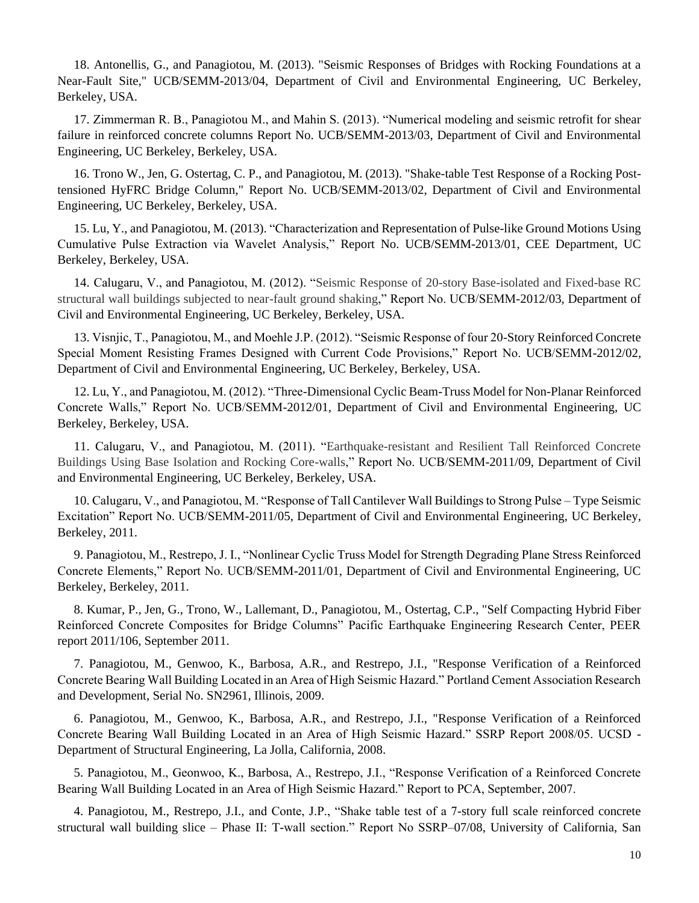18. Antonellis, G., and Panagiotou, M. (2013). "Seismic Responses of Bridges with Rocking Foundations at a Near-Fault Site," UCB/SEMM-2013/04, Department of Civil and Environmental Engineering, UC Berkeley, Berkeley, USA.

17. Zimmerman R. B., Panagiotou M., and Mahin S. (2013). "Numerical modeling and seismic retrofit for shear failure in reinforced concrete columns Report No. UCB/SEMM-2013/03, Department of Civil and Environmental Engineering, UC Berkeley, Berkeley, USA.

16. Trono W., Jen, G. Ostertag, C. P., and Panagiotou, M. (2013). "Shake-table Test Response of a Rocking Posttensioned HyFRC Bridge Column," Report No. UCB/SEMM-2013/02, Department of Civil and Environmental Engineering, UC Berkeley, Berkeley, USA.

15. Lu, Y., and Panagiotou, M. (2013). "Characterization and Representation of Pulse-like Ground Motions Using Cumulative Pulse Extraction via Wavelet Analysis," Report No. UCB/SEMM-2013/01, CEE Department, UC Berkeley, Berkeley, USA.

14. Calugaru, V., and Panagiotou, M. (2012). "Seismic Response of 20-story Base-isolated and Fixed-base RC structural wall buildings subjected to near-fault ground shaking," Report No. UCB/SEMM-2012/03, Department of Civil and Environmental Engineering, UC Berkeley, Berkeley, USA.

13. Visnjic, T., Panagiotou, M., and Moehle J.P. (2012). "Seismic Response of four 20-Story Reinforced Concrete Special Moment Resisting Frames Designed with Current Code Provisions," Report No. UCB/SEMM-2012/02, Department of Civil and Environmental Engineering, UC Berkeley, Berkeley, USA.

12. Lu, Y., and Panagiotou, M. (2012). "Three-Dimensional Cyclic Beam-Truss Model for Non-Planar Reinforced Concrete Walls," Report No. UCB/SEMM-2012/01, Department of Civil and Environmental Engineering, UC Berkeley, Berkeley, USA.

11. Calugaru, V., and Panagiotou, M. (2011). "Earthquake-resistant and Resilient Tall Reinforced Concrete Buildings Using Base Isolation and Rocking Core-walls," Report No. UCB/SEMM-2011/09, Department of Civil and Environmental Engineering, UC Berkeley, Berkeley, USA.

10. Calugaru, V., and Panagiotou, M. "Response of Tall Cantilever Wall Buildings to Strong Pulse – Type Seismic Excitation" Report No. UCB/SEMM-2011/05, Department of Civil and Environmental Engineering, UC Berkeley, Berkeley, 2011.

9. Panagiotou, M., Restrepo, J. I., "Nonlinear Cyclic Truss Model for Strength Degrading Plane Stress Reinforced Concrete Elements," Report No. UCB/SEMM-2011/01, Department of Civil and Environmental Engineering, UC Berkeley, Berkeley, 2011.

8. Kumar, P., Jen, G., Trono, W., Lallemant, D., Panagiotou, M., Ostertag, C.P., "Self Compacting Hybrid Fiber Reinforced Concrete Composites for Bridge Columns" Pacific Earthquake Engineering Research Center, PEER report 2011/106, September 2011.

7. Panagiotou, M., Genwoo, K., Barbosa, A.R., and Restrepo, J.I., "Response Verification of a Reinforced Concrete Bearing Wall Building Located in an Area of High Seismic Hazard." Portland Cement Association Research and Development, Serial No. SN2961, Illinois, 2009.

6. Panagiotou, M., Genwoo, K., Barbosa, A.R., and Restrepo, J.I., "Response Verification of a Reinforced Concrete Bearing Wall Building Located in an Area of High Seismic Hazard." SSRP Report 2008/05. UCSD - Department of Structural Engineering, La Jolla, California, 2008.

5. Panagiotou, M., Geonwoo, K., Barbosa, A., Restrepo, J.I., "Response Verification of a Reinforced Concrete Bearing Wall Building Located in an Area of High Seismic Hazard." Report to PCA, September, 2007.

4. Panagiotou, M., Restrepo, J.I., and Conte, J.P., "Shake table test of a 7-story full scale reinforced concrete structural wall building slice – Phase II: T-wall section." Report No SSRP–07/08, University of California, San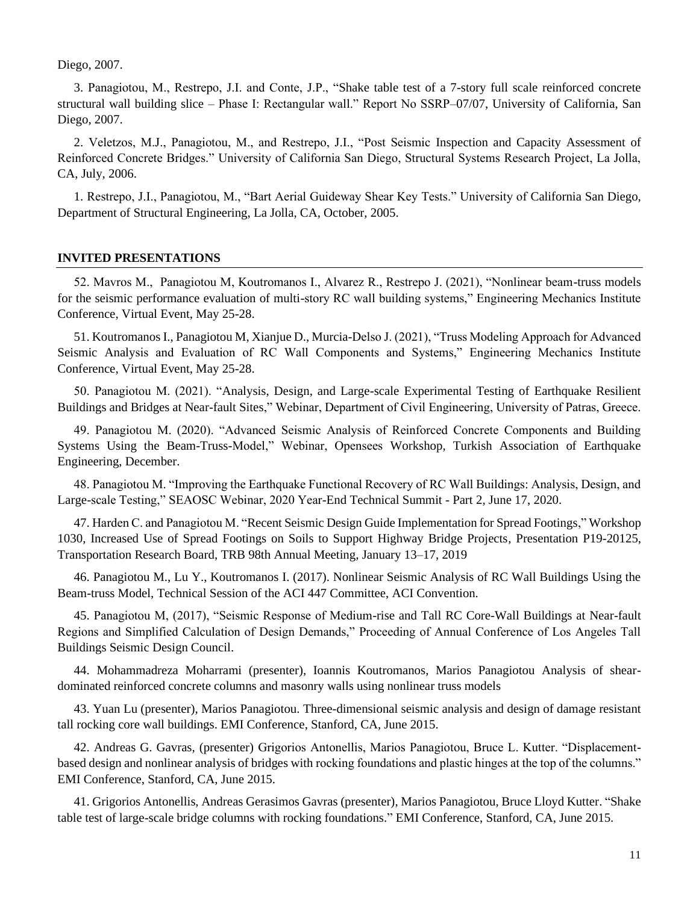Diego, 2007.

3. Panagiotou, M., Restrepo, J.I. and Conte, J.P., "Shake table test of a 7-story full scale reinforced concrete structural wall building slice – Phase I: Rectangular wall." Report No SSRP–07/07, University of California, San Diego, 2007.

2. Veletzos, M.J., Panagiotou, M., and Restrepo, J.I., "Post Seismic Inspection and Capacity Assessment of Reinforced Concrete Bridges." University of California San Diego, Structural Systems Research Project, La Jolla, CA, July, 2006.

1. Restrepo, J.I., Panagiotou, M., "Bart Aerial Guideway Shear Key Tests." University of California San Diego, Department of Structural Engineering, La Jolla, CA, October, 2005.

#### **INVITED PRESENTATIONS**

52. Mavros M., Panagiotou M, Koutromanos I., Alvarez R., Restrepo J. (2021), "Nonlinear beam-truss models for the seismic performance evaluation of multi-story RC wall building systems," Engineering Mechanics Institute Conference, Virtual Event, May 25-28.

51. Koutromanos I., Panagiotou M, Xianjue D., Murcia-Delso J. (2021), "Truss Modeling Approach for Advanced Seismic Analysis and Evaluation of RC Wall Components and Systems," Engineering Mechanics Institute Conference, Virtual Event, May 25-28.

50. Panagiotou M. (2021). "Analysis, Design, and Large-scale Experimental Testing of Earthquake Resilient Buildings and Bridges at Near-fault Sites," Webinar, Department of Civil Engineering, University of Patras, Greece.

49. Panagiotou M. (2020). "Advanced Seismic Analysis of Reinforced Concrete Components and Building Systems Using the Beam-Truss-Model," Webinar, Opensees Workshop, Turkish Association of Earthquake Engineering, December.

48. Panagiotou M. "Improving the Earthquake Functional Recovery of RC Wall Buildings: Analysis, Design, and Large-scale Testing," SEAOSC Webinar, 2020 Year-End Technical Summit - Part 2, June 17, 2020.

47. Harden C. and Panagiotou M. "Recent Seismic Design Guide Implementation for Spread Footings," Workshop 1030, Increased Use of Spread Footings on Soils to Support Highway Bridge Projects, Presentation P19-20125, Transportation Research Board, TRB 98th Annual Meeting, January 13–17, 2019

46. Panagiotou M., Lu Y., Koutromanos I. (2017). Nonlinear Seismic Analysis of RC Wall Buildings Using the Beam-truss Model, Technical Session of the ACI 447 Committee, ACI Convention.

45. Panagiotou M, (2017), "Seismic Response of Medium-rise and Tall RC Core-Wall Buildings at Near-fault Regions and Simplified Calculation of Design Demands," Proceeding of Annual Conference of Los Angeles Tall Buildings Seismic Design Council.

44. Mohammadreza Moharrami (presenter), Ioannis Koutromanos, Marios Panagiotou Analysis of sheardominated reinforced concrete columns and masonry walls using nonlinear truss models

43. Yuan Lu (presenter), Marios Panagiotou. Three-dimensional seismic analysis and design of damage resistant tall rocking core wall buildings. EMI Conference, Stanford, CA, June 2015.

42. Andreas G. Gavras, (presenter) Grigorios Antonellis, Marios Panagiotou, Bruce L. Kutter. "Displacementbased design and nonlinear analysis of bridges with rocking foundations and plastic hinges at the top of the columns." EMI Conference, Stanford, CA, June 2015.

41. Grigorios Antonellis, Andreas Gerasimos Gavras (presenter), Marios Panagiotou, Bruce Lloyd Kutter. "Shake table test of large-scale bridge columns with rocking foundations." EMI Conference, Stanford, CA, June 2015.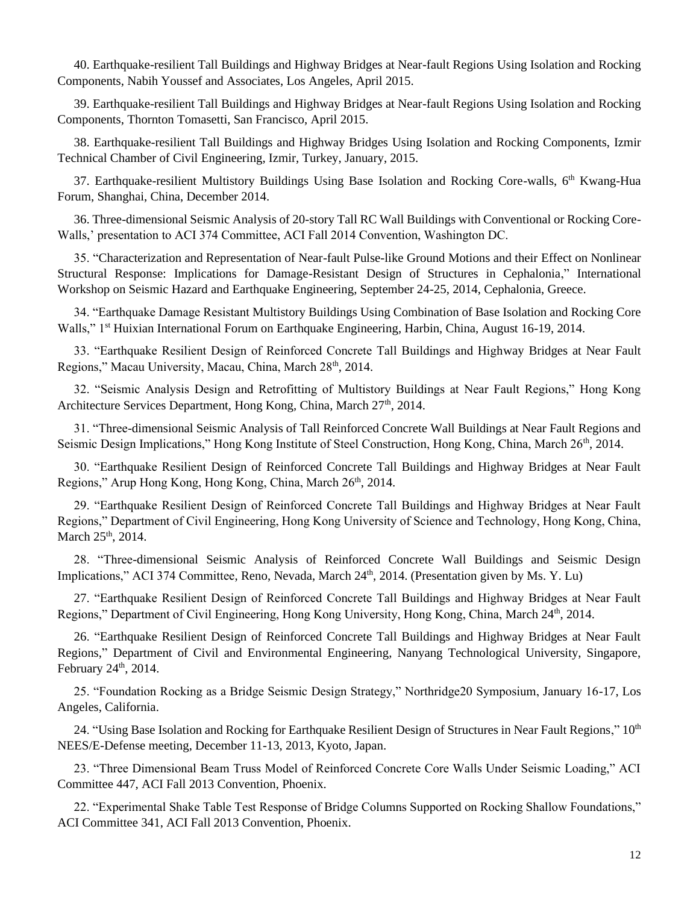40. Earthquake-resilient Tall Buildings and Highway Bridges at Near-fault Regions Using Isolation and Rocking Components, Nabih Youssef and Associates, Los Angeles, April 2015.

39. Earthquake-resilient Tall Buildings and Highway Bridges at Near-fault Regions Using Isolation and Rocking Components, Thornton Tomasetti, San Francisco, April 2015.

38. Earthquake-resilient Tall Buildings and Highway Bridges Using Isolation and Rocking Components, Izmir Technical Chamber of Civil Engineering, Izmir, Turkey, January, 2015.

37. Earthquake-resilient Multistory Buildings Using Base Isolation and Rocking Core-walls, 6<sup>th</sup> Kwang-Hua Forum, Shanghai, China, December 2014.

36. Three-dimensional Seismic Analysis of 20-story Tall RC Wall Buildings with Conventional or Rocking Core-Walls,' presentation to ACI 374 Committee, ACI Fall 2014 Convention, Washington DC.

35. "Characterization and Representation of Near-fault Pulse-like Ground Motions and their Effect on Nonlinear Structural Response: Implications for Damage-Resistant Design of Structures in Cephalonia," International Workshop on Seismic Hazard and Earthquake Engineering, September 24-25, 2014, Cephalonia, Greece.

34. "Earthquake Damage Resistant Multistory Buildings Using Combination of Base Isolation and Rocking Core Walls," 1<sup>st</sup> Huixian International Forum on Earthquake Engineering, Harbin, China, August 16-19, 2014.

33. "Earthquake Resilient Design of Reinforced Concrete Tall Buildings and Highway Bridges at Near Fault Regions," Macau University, Macau, China, March 28<sup>th</sup>, 2014.

32. "Seismic Analysis Design and Retrofitting of Multistory Buildings at Near Fault Regions," Hong Kong Architecture Services Department, Hong Kong, China, March 27<sup>th</sup>, 2014.

31. "Three-dimensional Seismic Analysis of Tall Reinforced Concrete Wall Buildings at Near Fault Regions and Seismic Design Implications," Hong Kong Institute of Steel Construction, Hong Kong, China, March 26<sup>th</sup>, 2014.

30. "Earthquake Resilient Design of Reinforced Concrete Tall Buildings and Highway Bridges at Near Fault Regions," Arup Hong Kong, Hong Kong, China, March 26th, 2014.

29. "Earthquake Resilient Design of Reinforced Concrete Tall Buildings and Highway Bridges at Near Fault Regions," Department of Civil Engineering, Hong Kong University of Science and Technology, Hong Kong, China, March 25<sup>th</sup>, 2014.

28. "Three-dimensional Seismic Analysis of Reinforced Concrete Wall Buildings and Seismic Design Implications," ACI 374 Committee, Reno, Nevada, March  $24<sup>th</sup>$ , 2014. (Presentation given by Ms. Y. Lu)

27. "Earthquake Resilient Design of Reinforced Concrete Tall Buildings and Highway Bridges at Near Fault Regions," Department of Civil Engineering, Hong Kong University, Hong Kong, China, March 24<sup>th</sup>, 2014.

26. "Earthquake Resilient Design of Reinforced Concrete Tall Buildings and Highway Bridges at Near Fault Regions," Department of Civil and Environmental Engineering, Nanyang Technological University, Singapore, February 24<sup>th</sup>, 2014.

25. "Foundation Rocking as a Bridge Seismic Design Strategy," Northridge20 Symposium, January 16-17, Los Angeles, California.

24. "Using Base Isolation and Rocking for Earthquake Resilient Design of Structures in Near Fault Regions,"  $10<sup>th</sup>$ NEES/E-Defense meeting, December 11-13, 2013, Kyoto, Japan.

23. "Three Dimensional Beam Truss Model of Reinforced Concrete Core Walls Under Seismic Loading," ACI Committee 447, ACI Fall 2013 Convention, Phoenix.

22. "Experimental Shake Table Test Response of Bridge Columns Supported on Rocking Shallow Foundations," ACI Committee 341, ACI Fall 2013 Convention, Phoenix.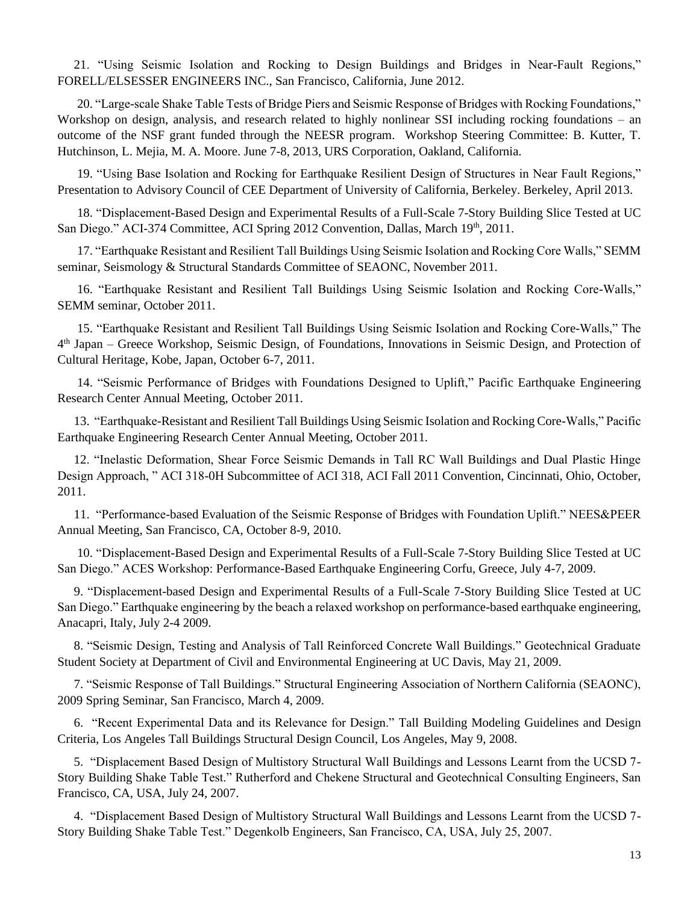21. "Using Seismic Isolation and Rocking to Design Buildings and Bridges in Near-Fault Regions," FORELL/ELSESSER ENGINEERS INC., San Francisco, California, June 2012.

20. "Large-scale Shake Table Tests of Bridge Piers and Seismic Response of Bridges with Rocking Foundations," Workshop on design, analysis, and research related to highly nonlinear SSI including rocking foundations – an outcome of the NSF grant funded through the NEESR program. Workshop Steering Committee: B. Kutter, T. Hutchinson, L. Mejia, M. A. Moore. June 7-8, 2013, URS Corporation, Oakland, California.

19. "Using Base Isolation and Rocking for Earthquake Resilient Design of Structures in Near Fault Regions," Presentation to Advisory Council of CEE Department of University of California, Berkeley. Berkeley, April 2013.

18. "Displacement-Based Design and Experimental Results of a Full-Scale 7-Story Building Slice Tested at UC San Diego." ACI-374 Committee, ACI Spring 2012 Convention, Dallas, March 19th, 2011.

17. "Earthquake Resistant and Resilient Tall Buildings Using Seismic Isolation and Rocking Core Walls," SEMM seminar, Seismology & Structural Standards Committee of SEAONC, November 2011.

16. "Earthquake Resistant and Resilient Tall Buildings Using Seismic Isolation and Rocking Core-Walls," SEMM seminar, October 2011.

15. "Earthquake Resistant and Resilient Tall Buildings Using Seismic Isolation and Rocking Core-Walls," The 4 th Japan – Greece Workshop, Seismic Design, of Foundations, Innovations in Seismic Design, and Protection of Cultural Heritage, Kobe, Japan, October 6-7, 2011.

14. "Seismic Performance of Bridges with Foundations Designed to Uplift," Pacific Earthquake Engineering Research Center Annual Meeting, October 2011.

13. "Earthquake-Resistant and Resilient Tall Buildings Using Seismic Isolation and Rocking Core-Walls," Pacific Earthquake Engineering Research Center Annual Meeting, October 2011.

12. "Inelastic Deformation, Shear Force Seismic Demands in Tall RC Wall Buildings and Dual Plastic Hinge Design Approach, " ACI 318-0H Subcommittee of ACI 318, ACI Fall 2011 Convention, Cincinnati, Ohio, October, 2011.

11. "Performance-based Evaluation of the Seismic Response of Bridges with Foundation Uplift." NEES&PEER Annual Meeting, San Francisco, CA, October 8-9, 2010.

10. "Displacement-Based Design and Experimental Results of a Full-Scale 7-Story Building Slice Tested at UC San Diego." ACES Workshop: Performance-Based Earthquake Engineering Corfu, Greece, July 4-7, 2009.

9. "Displacement-based Design and Experimental Results of a Full-Scale 7-Story Building Slice Tested at UC San Diego." Earthquake engineering by the beach a relaxed workshop on performance-based earthquake engineering, Anacapri, Italy, July 2-4 2009.

8. "Seismic Design, Testing and Analysis of Tall Reinforced Concrete Wall Buildings." Geotechnical Graduate Student Society at Department of Civil and Environmental Engineering at UC Davis, May 21, 2009.

7. "Seismic Response of Tall Buildings." Structural Engineering Association of Northern California (SEAONC), 2009 Spring Seminar, San Francisco, March 4, 2009.

6. "Recent Experimental Data and its Relevance for Design." Tall Building Modeling Guidelines and Design Criteria, Los Angeles Tall Buildings Structural Design Council, Los Angeles, May 9, 2008.

5. "Displacement Based Design of Multistory Structural Wall Buildings and Lessons Learnt from the UCSD 7- Story Building Shake Table Test." Rutherford and Chekene Structural and Geotechnical Consulting Engineers, San Francisco, CA, USA, July 24, 2007.

4. "Displacement Based Design of Multistory Structural Wall Buildings and Lessons Learnt from the UCSD 7- Story Building Shake Table Test." Degenkolb Engineers, San Francisco, CA, USA, July 25, 2007.